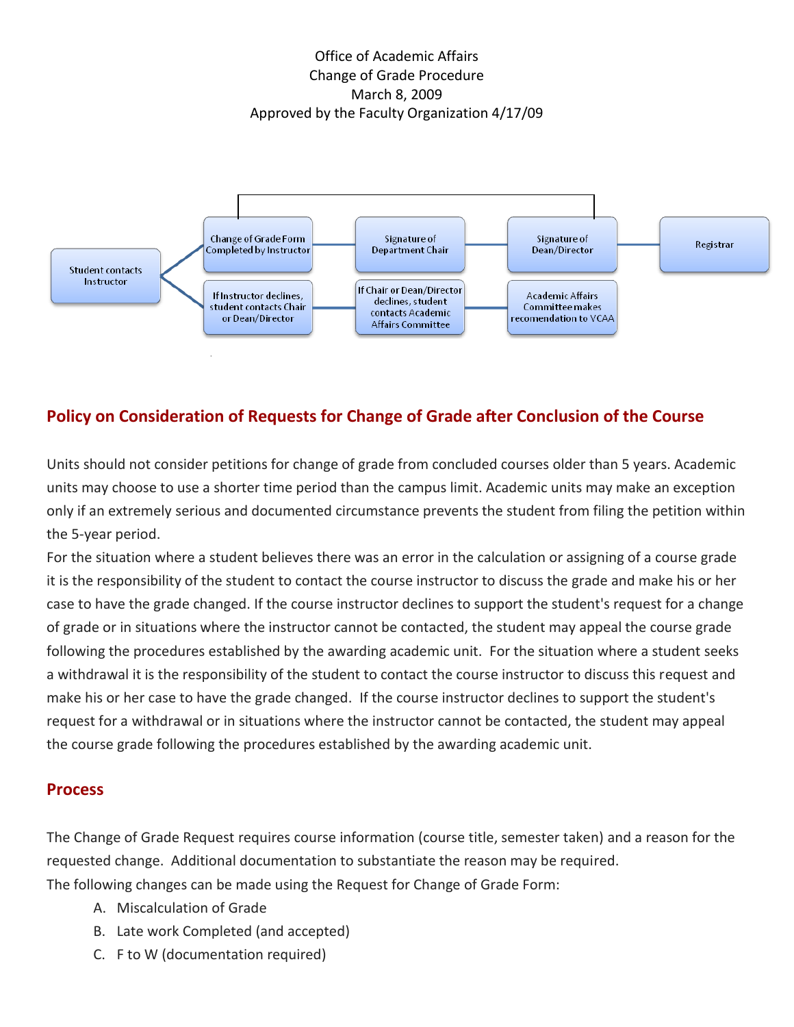Office of Academic Affairs Change of Grade Procedure March 8, 2009 Approved by the Faculty Organization 4/17/09



## **Policy on Consideration of Requests for Change of Grade after Conclusion of the Course**

Units should not consider petitions for change of grade from concluded courses older than 5 years. Academic units may choose to use a shorter time period than the campus limit. Academic units may make an exception only if an extremely serious and documented circumstance prevents the student from filing the petition within the 5-year period.

For the situation where a student believes there was an error in the calculation or assigning of a course grade it is the responsibility of the student to contact the course instructor to discuss the grade and make his or her case to have the grade changed. If the course instructor declines to support the student's request for a change of grade or in situations where the instructor cannot be contacted, the student may appeal the course grade following the procedures established by the awarding academic unit. For the situation where a student seeks a withdrawal it is the responsibility of the student to contact the course instructor to discuss this request and make his or her case to have the grade changed. If the course instructor declines to support the student's request for a withdrawal or in situations where the instructor cannot be contacted, the student may appeal the course grade following the procedures established by the awarding academic unit.

## **Process**

The Change of Grade Request requires course information (course title, semester taken) and a reason for the requested change. Additional documentation to substantiate the reason may be required. The following changes can be made using the Request for Change of Grade Form:

- A. Miscalculation of Grade
- B. Late work Completed (and accepted)
- C. F to W (documentation required)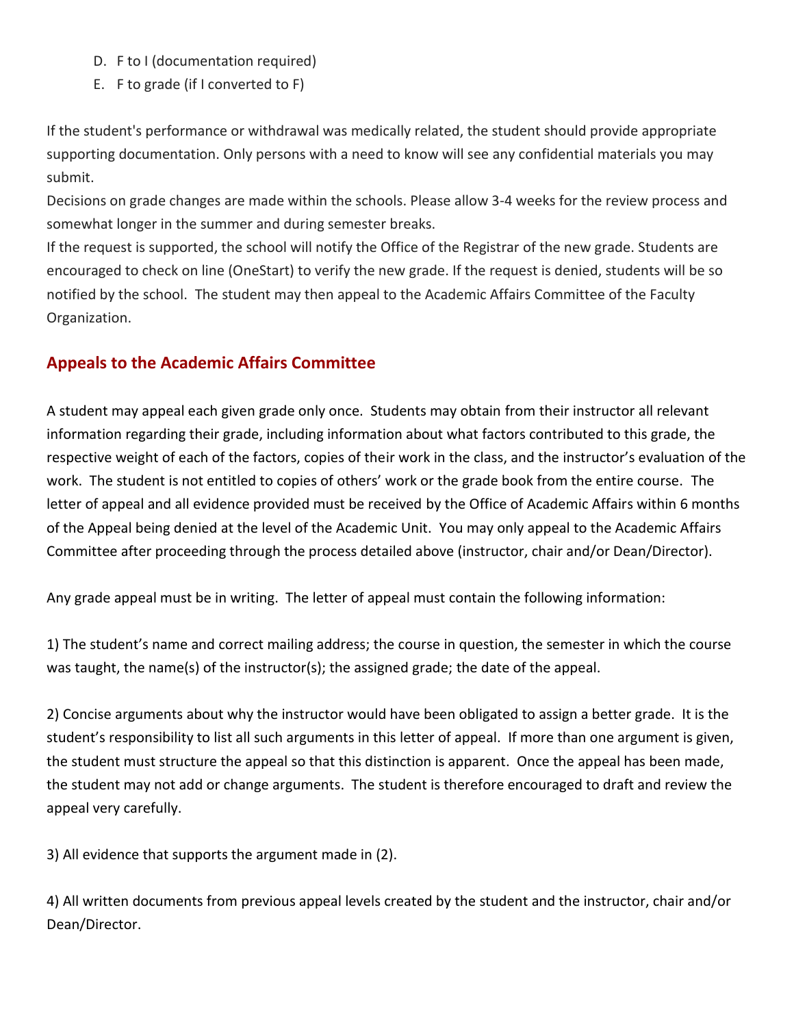- D. F to I (documentation required)
- E. F to grade (if I converted to F)

If the student's performance or withdrawal was medically related, the student should provide appropriate supporting documentation. Only persons with a need to know will see any confidential materials you may submit.

Decisions on grade changes are made within the schools. Please allow 3-4 weeks for the review process and somewhat longer in the summer and during semester breaks.

If the request is supported, the school will notify the Office of the Registrar of the new grade. Students are encouraged to check on line (OneStart) to verify the new grade. If the request is denied, students will be so notified by the school. The student may then appeal to the Academic Affairs Committee of the Faculty Organization.

## **Appeals to the Academic Affairs Committee**

A student may appeal each given grade only once. Students may obtain from their instructor all relevant information regarding their grade, including information about what factors contributed to this grade, the respective weight of each of the factors, copies of their work in the class, and the instructor's evaluation of the work. The student is not entitled to copies of others' work or the grade book from the entire course. The letter of appeal and all evidence provided must be received by the Office of Academic Affairs within 6 months of the Appeal being denied at the level of the Academic Unit. You may only appeal to the Academic Affairs Committee after proceeding through the process detailed above (instructor, chair and/or Dean/Director).

Any grade appeal must be in writing. The letter of appeal must contain the following information:

1) The student's name and correct mailing address; the course in question, the semester in which the course was taught, the name(s) of the instructor(s); the assigned grade; the date of the appeal.

2) Concise arguments about why the instructor would have been obligated to assign a better grade. It is the student's responsibility to list all such arguments in this letter of appeal. If more than one argument is given, the student must structure the appeal so that this distinction is apparent. Once the appeal has been made, the student may not add or change arguments. The student is therefore encouraged to draft and review the appeal very carefully.

3) All evidence that supports the argument made in (2).

4) All written documents from previous appeal levels created by the student and the instructor, chair and/or Dean/Director.